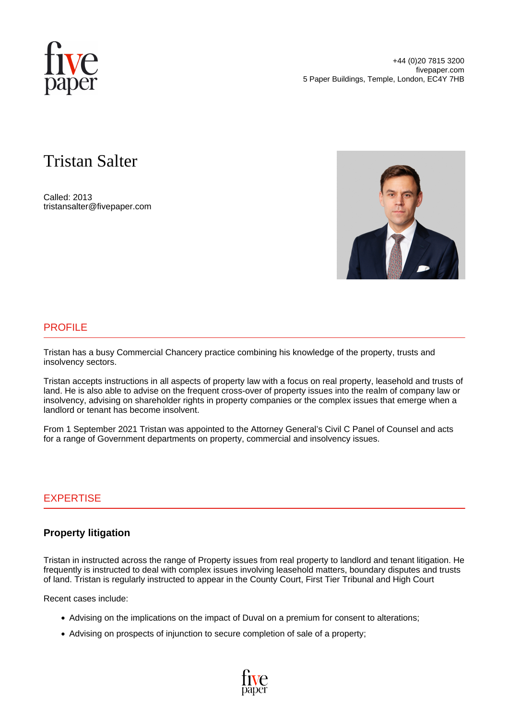

# Tristan Salter

Called: 2013 tristansalter@fivepaper.com



## PROFILE

Tristan has a busy Commercial Chancery practice combining his knowledge of the property, trusts and insolvency sectors.

Tristan accepts instructions in all aspects of property law with a focus on real property, leasehold and trusts of land. He is also able to advise on the frequent cross-over of property issues into the realm of company law or insolvency, advising on shareholder rights in property companies or the complex issues that emerge when a landlord or tenant has become insolvent.

From 1 September 2021 Tristan was appointed to the Attorney General's Civil C Panel of Counsel and acts for a range of Government departments on property, commercial and insolvency issues.

## EXPERTISE

## **Property litigation**

Tristan in instructed across the range of Property issues from real property to landlord and tenant litigation. He frequently is instructed to deal with complex issues involving leasehold matters, boundary disputes and trusts of land. Tristan is regularly instructed to appear in the County Court, First Tier Tribunal and High Court

Recent cases include:

- Advising on the implications on the impact of Duval on a premium for consent to alterations;
- Advising on prospects of injunction to secure completion of sale of a property;

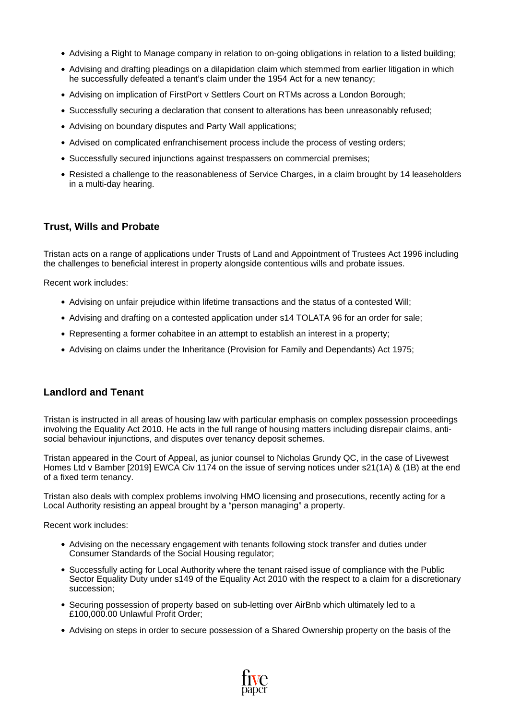- Advising a Right to Manage company in relation to on-going obligations in relation to a listed building;
- Advising and drafting pleadings on a dilapidation claim which stemmed from earlier litigation in which he successfully defeated a tenant's claim under the 1954 Act for a new tenancy;
- Advising on implication of FirstPort v Settlers Court on RTMs across a London Borough;
- Successfully securing a declaration that consent to alterations has been unreasonably refused:
- Advising on boundary disputes and Party Wall applications;
- Advised on complicated enfranchisement process include the process of vesting orders;
- Successfully secured injunctions against trespassers on commercial premises;
- Resisted a challenge to the reasonableness of Service Charges, in a claim brought by 14 leaseholders in a multi-day hearing.

### **Trust, Wills and Probate**

Tristan acts on a range of applications under Trusts of Land and Appointment of Trustees Act 1996 including the challenges to beneficial interest in property alongside contentious wills and probate issues.

Recent work includes:

- Advising on unfair prejudice within lifetime transactions and the status of a contested Will;
- Advising and drafting on a contested application under s14 TOLATA 96 for an order for sale;
- Representing a former cohabitee in an attempt to establish an interest in a property;
- Advising on claims under the Inheritance (Provision for Family and Dependants) Act 1975;

### **Landlord and Tenant**

Tristan is instructed in all areas of housing law with particular emphasis on complex possession proceedings involving the Equality Act 2010. He acts in the full range of housing matters including disrepair claims, antisocial behaviour injunctions, and disputes over tenancy deposit schemes.

Tristan appeared in the Court of Appeal, as junior counsel to Nicholas Grundy QC, in the case of Livewest Homes Ltd v Bamber [2019] EWCA Civ 1174 on the issue of serving notices under s21(1A) & (1B) at the end of a fixed term tenancy.

Tristan also deals with complex problems involving HMO licensing and prosecutions, recently acting for a Local Authority resisting an appeal brought by a "person managing" a property.

Recent work includes:

- Advising on the necessary engagement with tenants following stock transfer and duties under Consumer Standards of the Social Housing regulator;
- Successfully acting for Local Authority where the tenant raised issue of compliance with the Public Sector Equality Duty under s149 of the Equality Act 2010 with the respect to a claim for a discretionary succession;
- Securing possession of property based on sub-letting over AirBnb which ultimately led to a £100,000.00 Unlawful Profit Order;
- Advising on steps in order to secure possession of a Shared Ownership property on the basis of the

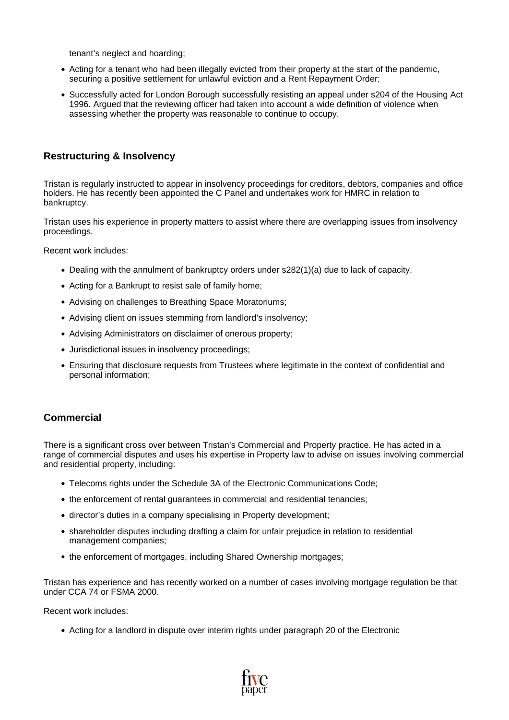tenant's neglect and hoarding;

- Acting for a tenant who had been illegally evicted from their property at the start of the pandemic, securing a positive settlement for unlawful eviction and a Rent Repayment Order;
- Successfully acted for London Borough successfully resisting an appeal under s204 of the Housing Act 1996. Argued that the reviewing officer had taken into account a wide definition of violence when assessing whether the property was reasonable to continue to occupy.

## **Restructuring & Insolvency**

Tristan is regularly instructed to appear in insolvency proceedings for creditors, debtors, companies and office holders. He has recently been appointed the C Panel and undertakes work for HMRC in relation to bankruptcy.

Tristan uses his experience in property matters to assist where there are overlapping issues from insolvency proceedings.

Recent work includes:

- Dealing with the annulment of bankruptcy orders under s282(1)(a) due to lack of capacity.
- Acting for a Bankrupt to resist sale of family home;
- Advising on challenges to Breathing Space Moratoriums;
- Advising client on issues stemming from landlord's insolvency;
- Advising Administrators on disclaimer of onerous property;
- Jurisdictional issues in insolvency proceedings;
- Ensuring that disclosure requests from Trustees where legitimate in the context of confidential and personal information;

## **Commercial**

There is a significant cross over between Tristan's Commercial and Property practice. He has acted in a range of commercial disputes and uses his expertise in Property law to advise on issues involving commercial and residential property, including:

- Telecoms rights under the Schedule 3A of the Electronic Communications Code;
- the enforcement of rental guarantees in commercial and residential tenancies;
- director's duties in a company specialising in Property development;
- shareholder disputes including drafting a claim for unfair prejudice in relation to residential management companies;
- the enforcement of mortgages, including Shared Ownership mortgages;

Tristan has experience and has recently worked on a number of cases involving mortgage regulation be that under CCA 74 or FSMA 2000.

Recent work includes:

Acting for a landlord in dispute over interim rights under paragraph 20 of the Electronic

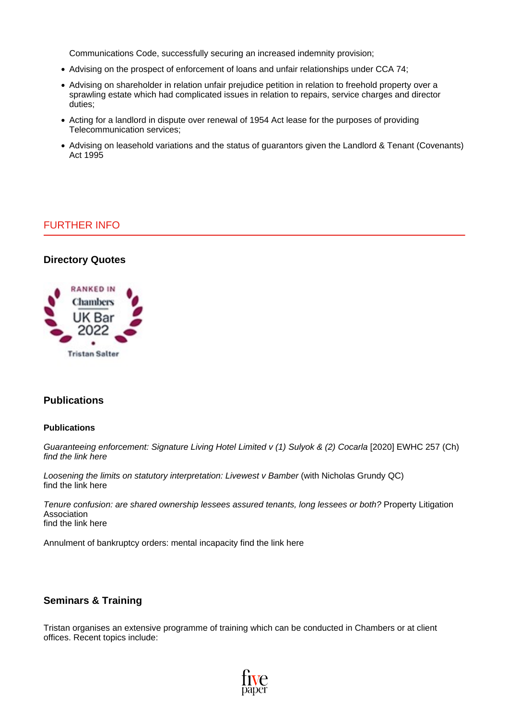Communications Code, successfully securing an increased indemnity provision;

- Advising on the prospect of enforcement of loans and unfair relationships under CCA 74;
- Advising on shareholder in relation unfair prejudice petition in relation to freehold property over a sprawling estate which had complicated issues in relation to repairs, service charges and director duties;
- Acting for a landlord in dispute over renewal of 1954 Act lease for the purposes of providing Telecommunication services;
- Advising on leasehold variations and the status of quarantors given the Landlord & Tenant (Covenants) Act 1995

## FURTHER INFO

### **Directory Quotes**



## **Publications**

#### **Publications**

Guaranteeing enforcement: Signature Living Hotel Limited v (1) Sulyok & (2) Cocarla [2020] EWHC 257 (Ch) find the link [here](https://www.pla.org.uk/2020/05/tristan-salter-and-tiernan-fitzgibbon-five-paper-guaranteeing-enforcement-of-guarantees/)

Loosening the limits on statutory interpretation: Livewest v Bamber (with Nicholas Grundy QC) find the link [here](https://www.localgovernmentlawyer.co.uk/housing-law/315-housing-features/41155-loosening-the-limits-of-statutory-interpretation-livewest-v-bambe)

Tenure confusion: are shared ownership lessees assured tenants, long lessees or both? Property Litigation Association find the link [here](http://www.pla.org.uk/2018/10/tenure-confusion-are-shared-ownership-lessees-assured-tenants-long-lessees-or-both-tristan-salter-five-paper/)

Annulment of bankruptcy orders: mental incapacity find the link [here](https://uk.practicallaw.thomsonreuters.com/Document/I0DCE2770820111E48B7FF36EA2399ADE/View/FullText.html?navigationPath=Search%2Fv1%2Fresults%2Fnavigation%2Fi0ad6ad3c000001695dcaabe4596e10b0%3FNav%3DRESEARCH_COMBINED_WLUK%26fragmentIdentifier%3DI0DCE2770820111E48B7FF36EA2399ADE%26startIndex%3D1%26contextData%3D%2528sc.Search%2529%26transitionType%3DSearchItem&listSource=Search&listPageSource=e4af938a978efa1b24478e707cc340fe&list=RESEARCH_COMBINED_WLUK&rank=1&sessionScopeId=bcf9e5e1e8d03eab3804598f305d513aca2ff0c587b1768804a3faa51b79440a&originationContext=Search+Result&transitionType=SearchItem&contextData=%28sc.Search%29&navId=834A517D927FB09844265D9C70DB8F8E&comp=wluk)

### **Seminars & Training**

Tristan organises an extensive programme of training which can be conducted in Chambers or at client offices. Recent topics include: